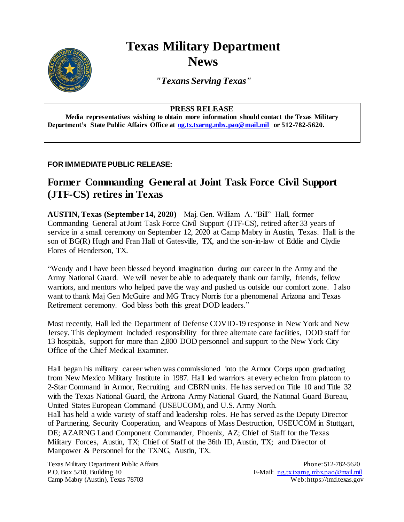# **Texas Military Department News**

*"Texans Serving Texas"*

#### **PRESS RELEASE**

**Media representatives wishing to obtain more information should contact the Texas Military Department's State Public Affairs Office at [ng.tx.txarng.mbx.pao@mail.mil](mailto:ng.tx.txarng.mbx.pao@mail.mil) or 512-782-5620.**

### **FOR IMMEDIATE PUBLIC RELEASE:**

## **Former Commanding General at Joint Task Force Civil Support (JTF-CS) retires in Texas**

**AUSTIN, Texas (September 14, 2020)** – Maj. Gen. William A. "Bill" Hall, former Commanding General at Joint Task Force Civil Support (JTF-CS), retired after 33 years of service in a small ceremony on September 12, 2020 at Camp Mabry in Austin, Texas. Hall is the son of BG(R) Hugh and Fran Hall of Gatesville, TX, and the son-in-law of Eddie and Clydie Flores of Henderson, TX.

"Wendy and I have been blessed beyond imagination during our career in the Army and the Army National Guard. We will never be able to adequately thank our family, friends, fellow warriors, and mentors who helped pave the way and pushed us outside our comfort zone. I also want to thank Maj Gen McGuire and MG Tracy Norris for a phenomenal Arizona and Texas Retirement ceremony. God bless both this great DOD leaders."

Most recently, Hall led the Department of Defense COVID-19 response in New York and New Jersey. This deployment included responsibility for three alternate care facilities, DOD staff for 13 hospitals, support for more than 2,800 DOD personnel and support to the New York City Office of the Chief Medical Examiner.

Hall began his military career when was commissioned into the Armor Corps upon graduating from New Mexico Military Institute in 1987. Hall led warriors at every echelon from platoon to 2-Star Command in Armor, Recruiting, and CBRN units. He has served on Title 10 and Title 32 with the Texas National Guard, the Arizona Army National Guard, the National Guard Bureau, United States European Command (USEUCOM), and U.S. Army North.

Hall has held a wide variety of staff and leadership roles. He has served as the Deputy Director of Partnering, Security Cooperation, and Weapons of Mass Destruction, USEUCOM in Stuttgart, DE; AZARNG Land Component Commander, Phoenix, AZ; Chief of Staff for the Texas Military Forces, Austin, TX; Chief of Staff of the 36th ID, Austin, TX; and Director of Manpower & Personnel for the TXNG, Austin, TX.

Texas Military Department Public Affairs Phone: 512-782-5620 P.O. Box 5218, Building 10 example 10 E-Mail: ng.txtxarng.mbx.pao@mail.mil Camp Mabry (Austin), Texas 78703 Web: https://tmd.texas.gov